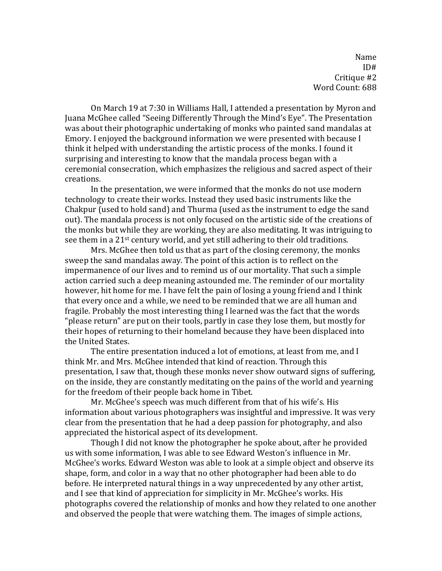Name  $ID#$ Critique #2 Word Count: 688

On March 19 at 7:30 in Williams Hall, I attended a presentation by Myron and Juana McGhee called "Seeing Differently Through the Mind's Eye". The Presentation was about their photographic undertaking of monks who painted sand mandalas at Emory. I enjoyed the background information we were presented with because I think it helped with understanding the artistic process of the monks. I found it surprising and interesting to know that the mandala process began with a ceremonial consecration, which emphasizes the religious and sacred aspect of their creations.

In the presentation, we were informed that the monks do not use modern technology to create their works. Instead they used basic instruments like the Chakpur (used to hold sand) and Thurma (used as the instrument to edge the sand out). The mandala process is not only focused on the artistic side of the creations of the monks but while they are working, they are also meditating. It was intriguing to see them in a 21<sup>st</sup> century world, and yet still adhering to their old traditions.

Mrs. McGhee then told us that as part of the closing ceremony, the monks sweep the sand mandalas away. The point of this action is to reflect on the impermanence of our lives and to remind us of our mortality. That such a simple action carried such a deep meaning astounded me. The reminder of our mortality however, hit home for me. I have felt the pain of losing a young friend and I think that every once and a while, we need to be reminded that we are all human and fragile. Probably the most interesting thing I learned was the fact that the words "please return" are put on their tools, partly in case they lose them, but mostly for their hopes of returning to their homeland because they have been displaced into the United States.

The entire presentation induced a lot of emotions, at least from me, and I think Mr. and Mrs. McGhee intended that kind of reaction. Through this presentation, I saw that, though these monks never show outward signs of suffering, on the inside, they are constantly meditating on the pains of the world and yearning for the freedom of their people back home in Tibet.

Mr. McGhee's speech was much different from that of his wife's. His information about various photographers was insightful and impressive. It was very clear from the presentation that he had a deep passion for photography, and also appreciated the historical aspect of its development.

Though I did not know the photographer he spoke about, after he provided us with some information, I was able to see Edward Weston's influence in Mr. McGhee's works. Edward Weston was able to look at a simple object and observe its shape, form, and color in a way that no other photographer had been able to do before. He interpreted natural things in a way unprecedented by any other artist, and I see that kind of appreciation for simplicity in Mr. McGhee's works. His photographs covered the relationship of monks and how they related to one another and observed the people that were watching them. The images of simple actions,